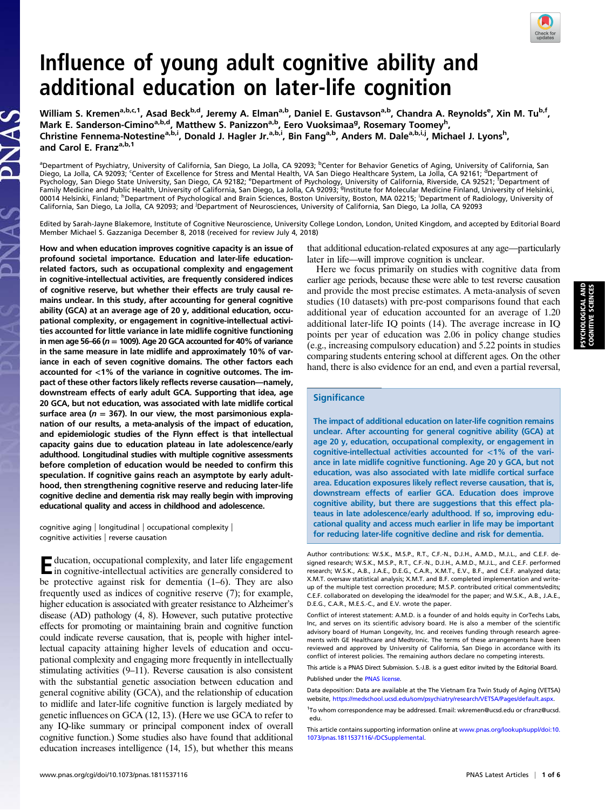

# Influence of young adult cognitive ability and additional education on later-life cognition

William S. Kremen<sup>a,b,c,1</sup>, Asad Beck<sup>b,d</sup>, Jeremy A. Elman<sup>a,b</sup>, Daniel E. Gustavson<sup>a,b</sup>, Chandra A. Reynolds<sup>e</sup>, Xin M. Tu<sup>b,f</sup>, Mark E. Sanderson-Cimino<sup>a,b,d</sup>, Matthew S. Panizzon<sup>a,b</sup>, Eero Vuoksimaa<sup>g</sup>, Rosemary Toomey<sup>h</sup>, Christine Fennema-Notestine<sup>a,b,i</sup>, Donald J. Hagler Jr.<sup>a,b,i</sup>, Bin Fang<sup>a,b</sup>, Anders M. Dale<sup>a,b,i,j</sup>, Michael J. Lyons<sup>h</sup>, and Carol E. Franz<sup>a,b,1</sup>

ªDepartment of Psychiatry, University of California, San Diego, La Jolla, CA 92093; <sup>b</sup>Center for Behavior Genetics of Aging, University of California, San Diego, La Jolla, CA 92093; <sup>c</sup>Center of Excellence for Stress and Mental Health, VA San Diego Healthcare System, La Jolla, CA 92161; <sup>d</sup>Department of Psychology, San Diego State University, San Diego, CA 92182; <sup>e</sup>Department of Psychology, University of California, Riverside, CA 92521; <sup>†</sup>Department of<br>Family Medicine and Public Health, University of California, San Die 00014 Helsinki, Finland; <sup>h</sup>Department of Psychological and Brain Sciences, Boston University, Boston, MA 02215; <sup>i</sup>Department of Radiology, University of California, San Diego, La Jolla, CA 92093; and <sup>j</sup>Department of Neurosciences, University of California, San Diego, La Jolla, CA 92093

Edited by Sarah-Jayne Blakemore, Institute of Cognitive Neuroscience, University College London, London, United Kingdom, and accepted by Editorial Board Member Michael S. Gazzaniga December 8, 2018 (received for review July 4, 2018)

How and when education improves cognitive capacity is an issue of profound societal importance. Education and later-life educationrelated factors, such as occupational complexity and engagement in cognitive-intellectual activities, are frequently considered indices of cognitive reserve, but whether their effects are truly causal remains unclear. In this study, after accounting for general cognitive ability (GCA) at an average age of 20 y, additional education, occupational complexity, or engagement in cognitive-intellectual activities accounted for little variance in late midlife cognitive functioning in men age 56–66 ( $n = 1009$ ). Age 20 GCA accounted for 40% of variance in the same measure in late midlife and approximately 10% of variance in each of seven cognitive domains. The other factors each accounted for <1% of the variance in cognitive outcomes. The impact of these other factors likely reflects reverse causation—namely, downstream effects of early adult GCA. Supporting that idea, age 20 GCA, but not education, was associated with late midlife cortical surface area ( $n = 367$ ). In our view, the most parsimonious explanation of our results, a meta-analysis of the impact of education, and epidemiologic studies of the Flynn effect is that intellectual capacity gains due to education plateau in late adolescence/early adulthood. Longitudinal studies with multiple cognitive assessments before completion of education would be needed to confirm this speculation. If cognitive gains reach an asymptote by early adulthood, then strengthening cognitive reserve and reducing later-life cognitive decline and dementia risk may really begin with improving educational quality and access in childhood and adolescence.

cognitive aging | longitudinal | occupational complexity | cognitive activities | reverse causation

ducation, occupational complexity, and later life engagement in cognitive-intellectual activities are generally considered to be protective against risk for dementia (1–6). They are also frequently used as indices of cognitive reserve (7); for example, higher education is associated with greater resistance to Alzheimer's disease (AD) pathology (4, 8). However, such putative protective effects for promoting or maintaining brain and cognitive function could indicate reverse causation, that is, people with higher intellectual capacity attaining higher levels of education and occupational complexity and engaging more frequently in intellectually stimulating activities (9–11). Reverse causation is also consistent with the substantial genetic association between education and general cognitive ability (GCA), and the relationship of education to midlife and later-life cognitive function is largely mediated by genetic influences on GCA (12, 13). (Here we use GCA to refer to any IQ-like summary or principal component index of overall cognitive function.) Some studies also have found that additional education increases intelligence (14, 15), but whether this means

that additional education-related exposures at any age—particularly later in life—will improve cognition is unclear.

Here we focus primarily on studies with cognitive data from earlier age periods, because these were able to test reverse causation and provide the most precise estimates. A meta-analysis of seven studies (10 datasets) with pre-post comparisons found that each additional year of education accounted for an average of 1.20 additional later-life IQ points (14). The average increase in IQ points per year of education was 2.06 in policy change studies (e.g., increasing compulsory education) and 5.22 points in studies comparing students entering school at different ages. On the other hand, there is also evidence for an end, and even a partial reversal,

# **Significance**

The impact of additional education on later-life cognition remains unclear. After accounting for general cognitive ability (GCA) at age 20 y, education, occupational complexity, or engagement in cognitive-intellectual activities accounted for <1% of the variance in late midlife cognitive functioning. Age 20 y GCA, but not education, was also associated with late midlife cortical surface area. Education exposures likely reflect reverse causation, that is, downstream effects of earlier GCA. Education does improve cognitive ability, but there are suggestions that this effect plateaus in late adolescence/early adulthood. If so, improving educational quality and access much earlier in life may be important for reducing later-life cognitive decline and risk for dementia.

Author contributions: W.S.K., M.S.P., R.T., C.F.-N., D.J.H., A.M.D., M.J.L., and C.E.F. designed research; W.S.K., M.S.P., R.T., C.F.-N., D.J.H., A.M.D., M.J.L., and C.E.F. performed research; W.S.K., A.B., J.A.E., D.E.G., C.A.R., X.M.T., E.V., B.F., and C.E.F. analyzed data; X.M.T. oversaw statistical analysis; X.M.T. and B.F. completed implementation and writeup of the multiple test correction procedure; M.S.P. contributed critical comments/edits; C.E.F. collaborated on developing the idea/model for the paper; and W.S.K., A.B., J.A.E., D.E.G., C.A.R., M.E.S.-C., and E.V. wrote the paper.

Conflict of interest statement: A.M.D. is a founder of and holds equity in CorTechs Labs, Inc, and serves on its scientific advisory board. He is also a member of the scientific advisory board of Human Longevity, Inc. and receives funding through research agreements with GE Healthcare and Medtronic. The terms of these arrangements have been reviewed and approved by University of California, San Diego in accordance with its conflict of interest policies. The remaining authors declare no competing interests.

This article is a PNAS Direct Submission. S.-J.B. is a guest editor invited by the Editorial Board. Published under the [PNAS license.](https://www.pnas.org/site/aboutpnas/licenses.xhtml)

Data deposition: Data are available at the The Vietnam Era Twin Study of Aging (VETSA) website, <https://medschool.ucsd.edu/som/psychiatry/research/VETSA/Pages/default.aspx>.

<sup>1</sup>To whom correspondence may be addressed. Email: [wkremen@ucsd.edu](mailto:wkremen@ucsd.edu) or [cfranz@ucsd.](mailto:cfranz@ucsd.edu) [edu.](mailto:cfranz@ucsd.edu)

This article contains supporting information online at [www.pnas.org/lookup/suppl/doi:10.](https://www.pnas.org/lookup/suppl/doi:10.1073/pnas.1811537116/-/DCSupplemental) [1073/pnas.1811537116/-/DCSupplemental](https://www.pnas.org/lookup/suppl/doi:10.1073/pnas.1811537116/-/DCSupplemental).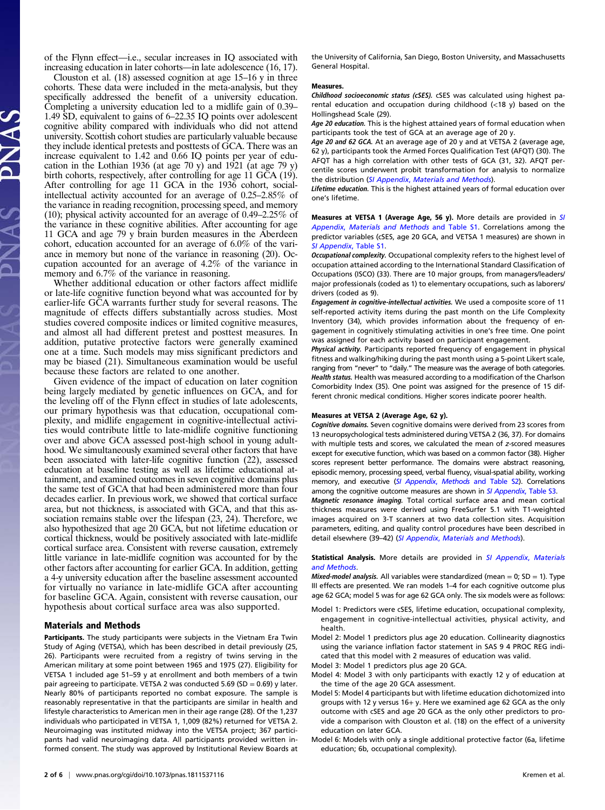of the Flynn effect—i.e., secular increases in IQ associated with increasing education in later cohorts—in late adolescence (16, 17).

Clouston et al. (18) assessed cognition at age 15–16 y in three cohorts. These data were included in the meta-analysis, but they specifically addressed the benefit of a university education. Completing a university education led to a midlife gain of 0.39– 1.49 SD, equivalent to gains of 6–22.35 IQ points over adolescent cognitive ability compared with individuals who did not attend university. Scottish cohort studies are particularly valuable because they include identical pretests and posttests of GCA. There was an increase equivalent to 1.42 and 0.66 IQ points per year of education in the Lothian 1936 (at age 70 y) and 1921 (at age 79 y) birth cohorts, respectively, after controlling for age 11 GCA (19). After controlling for age 11 GCA in the 1936 cohort, socialintellectual activity accounted for an average of 0.25–2.85% of the variance in reading recognition, processing speed, and memory (10); physical activity accounted for an average of 0.49–2.25% of the variance in these cognitive abilities. After accounting for age 11 GCA and age 79 y brain burden measures in the Aberdeen cohort, education accounted for an average of 6.0% of the variance in memory but none of the variance in reasoning (20). Occupation accounted for an average of 4.2% of the variance in memory and 6.7% of the variance in reasoning.

Whether additional education or other factors affect midlife or late-life cognitive function beyond what was accounted for by earlier-life GCA warrants further study for several reasons. The magnitude of effects differs substantially across studies. Most studies covered composite indices or limited cognitive measures, and almost all had different pretest and posttest measures. In addition, putative protective factors were generally examined one at a time. Such models may miss significant predictors and may be biased (21). Simultaneous examination would be useful because these factors are related to one another.

Given evidence of the impact of education on later cognition being largely mediated by genetic influences on GCA, and for the leveling off of the Flynn effect in studies of late adolescents, our primary hypothesis was that education, occupational complexity, and midlife engagement in cognitive-intellectual activities would contribute little to late-midlife cognitive functioning over and above GCA assessed post-high school in young adulthood. We simultaneously examined several other factors that have been associated with later-life cognitive function (22), assessed education at baseline testing as well as lifetime educational attainment, and examined outcomes in seven cognitive domains plus the same test of GCA that had been administered more than four decades earlier. In previous work, we showed that cortical surface area, but not thickness, is associated with GCA, and that this association remains stable over the lifespan (23, 24). Therefore, we also hypothesized that age 20 GCA, but not lifetime education or cortical thickness, would be positively associated with late-midlife cortical surface area. Consistent with reverse causation, extremely little variance in late-midlife cognition was accounted for by the other factors after accounting for earlier GCA. In addition, getting a 4-y university education after the baseline assessment accounted for virtually no variance in late-midlife GCA after accounting for baseline GCA. Again, consistent with reverse causation, our hypothesis about cortical surface area was also supported.

### Materials and Methods

Participants. The study participants were subjects in the Vietnam Era Twin Study of Aging (VETSA), which has been described in detail previously (25, 26). Participants were recruited from a registry of twins serving in the American military at some point between 1965 and 1975 (27). Eligibility for VETSA 1 included age 51–59 y at enrollment and both members of a twin pair agreeing to participate. VETSA 2 was conducted 5.69 (SD = 0.69) y later. Nearly 80% of participants reported no combat exposure. The sample is reasonably representative in that the participants are similar in health and lifestyle characteristics to American men in their age range (28). Of the 1,237 individuals who participated in VETSA 1, 1,009 (82%) returned for VETSA 2. Neuroimaging was instituted midway into the VETSA project; 367 participants had valid neuroimaging data. All participants provided written informed consent. The study was approved by Institutional Review Boards at the University of California, San Diego, Boston University, and Massachusetts General Hospital.

#### Measures.

Childhood socioeconomic status (cSES). cSES was calculated using highest parental education and occupation during childhood (<18 y) based on the Hollingshead Scale (29).

Age 20 education. This is the highest attained years of formal education when participants took the test of GCA at an average age of 20 y.

Age 20 and 62 GCA. At an average age of 20 y and at VETSA 2 (average age, 62 y), participants took the Armed Forces Qualification Test (AFQT) (30). The AFQT has a high correlation with other tests of GCA (31, 32). AFQT percentile scores underwent probit transformation for analysis to normalize the distribution (SI Appendix, [Materials and Methods](https://www.pnas.org/lookup/suppl/doi:10.1073/pnas.1811537116/-/DCSupplemental)).

Lifetime education. This is the highest attained years of formal education over one's lifetime.

Measures at VETSA 1 (Average Age, 56 y). More details are provided in [SI](https://www.pnas.org/lookup/suppl/doi:10.1073/pnas.1811537116/-/DCSupplemental) Appendix, [Materials and Methods](https://www.pnas.org/lookup/suppl/doi:10.1073/pnas.1811537116/-/DCSupplemental) and Table S1. Correlations among the predictor variables (cSES, age 20 GCA, and VETSA 1 measures) are shown in [SI Appendix](https://www.pnas.org/lookup/suppl/doi:10.1073/pnas.1811537116/-/DCSupplemental), Table S1.

Occupational complexity. Occupational complexity refers to the highest level of occupation attained according to the International Standard Classification of Occupations (ISCO) (33). There are 10 major groups, from managers/leaders/ major professionals (coded as 1) to elementary occupations, such as laborers/ drivers (coded as 9).

Engagement in cognitive-intellectual activities. We used a composite score of 11 self-reported activity items during the past month on the Life Complexity Inventory (34), which provides information about the frequency of engagement in cognitively stimulating activities in one's free time. One point was assigned for each activity based on participant engagement.

Physical activity. Participants reported frequency of engagement in physical fitness and walking/hiking during the past month using a 5-point Likert scale, ranging from "never" to "daily." The measure was the average of both categories. Health status. Health was measured according to a modification of the Charlson Comorbidity Index (35). One point was assigned for the presence of 15 different chronic medical conditions. Higher scores indicate poorer health.

#### Measures at VETSA 2 (Average Age, 62 y).

Cognitive domains. Seven cognitive domains were derived from 23 scores from 13 neuropsychological tests administered during VETSA 2 (36, 37). For domains with multiple tests and scores, we calculated the mean of z-scored measures except for executive function, which was based on a common factor (38). Higher scores represent better performance. The domains were abstract reasoning, episodic memory, processing speed, verbal fluency, visual-spatial ability, working memory, and executive (SI Appendix, Methods [and Table S2\)](https://www.pnas.org/lookup/suppl/doi:10.1073/pnas.1811537116/-/DCSupplemental). Correlations among the cognitive outcome measures are shown in [SI Appendix](https://www.pnas.org/lookup/suppl/doi:10.1073/pnas.1811537116/-/DCSupplemental), Table S3.

Magnetic resonance imaging. Total cortical surface area and mean cortical thickness measures were derived using FreeSurfer 5.1 with T1-weighted images acquired on 3-T scanners at two data collection sites. Acquisition parameters, editing, and quality control procedures have been described in detail elsewhere (39-42) (SI Appendix, [Materials and Methods](https://www.pnas.org/lookup/suppl/doi:10.1073/pnas.1811537116/-/DCSupplemental)).

Statistical Analysis. More details are provided in [SI Appendix](https://www.pnas.org/lookup/suppl/doi:10.1073/pnas.1811537116/-/DCSupplemental), Materials [and Methods](https://www.pnas.org/lookup/suppl/doi:10.1073/pnas.1811537116/-/DCSupplemental).

Mixed-model analysis. All variables were standardized (mean = 0; SD = 1). Type III effects are presented. We ran models 1–4 for each cognitive outcome plus age 62 GCA; model 5 was for age 62 GCA only. The six models were as follows:

- Model 1: Predictors were cSES, lifetime education, occupational complexity, engagement in cognitive-intellectual activities, physical activity, and health.
- Model 2: Model 1 predictors plus age 20 education. Collinearity diagnostics using the variance inflation factor statement in SAS 9 4 PROC REG indicated that this model with 2 measures of education was valid.
- Model 3: Model 1 predictors plus age 20 GCA.
- Model 4: Model 3 with only participants with exactly 12 y of education at the time of the age 20 GCA assessment.
- Model 5: Model 4 participants but with lifetime education dichotomized into groups with 12 y versus 16+ y. Here we examined age 62 GCA as the only outcome with cSES and age 20 GCA as the only other predictors to provide a comparison with Clouston et al. (18) on the effect of a university education on later GCA.
- Model 6: Models with only a single additional protective factor (6a, lifetime education; 6b, occupational complexity).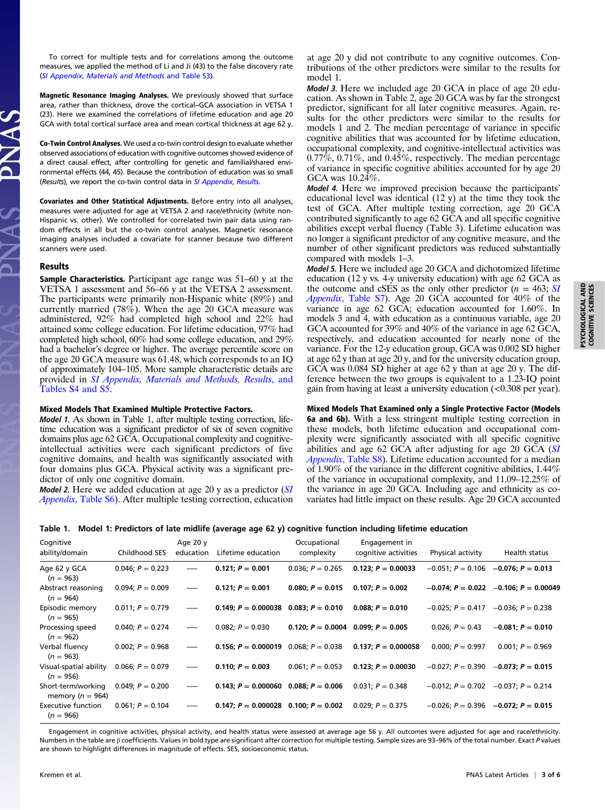To correct for multiple tests and for correlations among the outcome measures, we applied the method of Li and Ji (43) to the false discovery rate (SI Appendix, [Materials and Methods](https://www.pnas.org/lookup/suppl/doi:10.1073/pnas.1811537116/-/DCSupplemental) and Table S3).

Magnetic Resonance Imaging Analyses. We previously showed that surface area, rather than thickness, drove the cortical–GCA association in VETSA 1 (23). Here we examined the correlations of lifetime education and age 20 GCA with total cortical surface area and mean cortical thickness at age 62 y.

Co-Twin Control Analyses. We used a co-twin control design to evaluate whether observed associations of education with cognitive outcomes showed evidence of a direct causal effect, after controlling for genetic and familial/shared environmental effects (44, 45). Because the contribution of education was so small (Results), we report the co-twin control data in [SI Appendix](https://www.pnas.org/lookup/suppl/doi:10.1073/pnas.1811537116/-/DCSupplemental), Results.

Covariates and Other Statistical Adjustments. Before entry into all analyses, measures were adjusted for age at VETSA 2 and race/ethnicity (white non-Hispanic vs. other). We controlled for correlated twin pair data using random effects in all but the co-twin control analyses. Magnetic resonance imaging analyses included a covariate for scanner because two different scanners were used.

# **Results**

Sample Characteristics. Participant age range was 51–60 y at the VETSA 1 assessment and 56–66 y at the VETSA 2 assessment. The participants were primarily non-Hispanic white (89%) and currently married (78%). When the age 20 GCA measure was administered, 92% had completed high school and 22% had attained some college education. For lifetime education, 97% had completed high school, 60% had some college education, and 29% had a bachelor's degree or higher. The average percentile score on the age 20 GCA measure was 61.48, which corresponds to an IQ of approximately 104–105. More sample characteristic details are provided in [SI Appendix, Materials and Methods, Results](https://www.pnas.org/lookup/suppl/doi:10.1073/pnas.1811537116/-/DCSupplemental), and [Tables S4 and S5](https://www.pnas.org/lookup/suppl/doi:10.1073/pnas.1811537116/-/DCSupplemental).

## Mixed Models That Examined Multiple Protective Factors.

Model 1. As shown in Table 1, after multiple testing correction, lifetime education was a significant predictor of six of seven cognitive domains plus age 62 GCA. Occupational complexity and cognitiveintellectual activities were each significant predictors of five cognitive domains, and health was significantly associated with four domains plus GCA. Physical activity was a significant predictor of only one cognitive domain.

**Model 2.** Here we added education at age 20 y as a predictor ([SI](https://www.pnas.org/lookup/suppl/doi:10.1073/pnas.1811537116/-/DCSupplemental) Appendix[, Table S6\)](https://www.pnas.org/lookup/suppl/doi:10.1073/pnas.1811537116/-/DCSupplemental). After multiple testing correction, education at age 20 y did not contribute to any cognitive outcomes. Contributions of the other predictors were similar to the results for model 1.

Model 3. Here we included age 20 GCA in place of age 20 education. As shown in Table 2, age 20 GCA was by far the strongest predictor, significant for all later cognitive measures. Again, results for the other predictors were similar to the results for models 1 and 2. The median percentage of variance in specific cognitive abilities that was accounted for by lifetime education, occupational complexity, and cognitive-intellectual activities was 0.77%, 0.71%, and 0.45%, respectively. The median percentage of variance in specific cognitive abilities accounted for by age 20 GCA was 10.24%.

Model 4. Here we improved precision because the participants' educational level was identical (12 y) at the time they took the test of GCA. After multiple testing correction, age 20 GCA contributed significantly to age 62 GCA and all specific cognitive abilities except verbal fluency (Table 3). Lifetime education was no longer a significant predictor of any cognitive measure, and the number of other significant predictors was reduced substantially compared with models 1–3.

Model 5. Here we included age 20 GCA and dichotomized lifetime education (12 y vs. 4-y university education) with age 62 GCA as the outcome and cSES as the only other predictor  $(n = 463; S1)$ Appendix[, Table S7\)](https://www.pnas.org/lookup/suppl/doi:10.1073/pnas.1811537116/-/DCSupplemental). Age 20 GCA accounted for 40% of the variance in age 62 GCA; education accounted for 1.60%. In models 3 and 4, with education as a continuous variable, age 20 GCA accounted for 39% and 40% of the variance in age 62 GCA, respectively, and education accounted for nearly none of the variance. For the 12-y education group, GCA was 0.002 SD higher at age 62 y than at age 20 y, and for the university education group, GCA was 0.084 SD higher at age 62 y than at age 20 y. The difference between the two groups is equivalent to a 1.23-IQ point gain from having at least a university education (<0.308 per year).

## Mixed Models That Examined only a Single Protective Factor (Models

6a and 6b). With a less stringent multiple testing correction in these models, both lifetime education and occupational complexity were significantly associated with all specific cognitive abilities and age 62 GCA after adjusting for age 20 GCA ([SI](https://www.pnas.org/lookup/suppl/doi:10.1073/pnas.1811537116/-/DCSupplemental) Appendix[, Table S8](https://www.pnas.org/lookup/suppl/doi:10.1073/pnas.1811537116/-/DCSupplemental)). Lifetime education accounted for a median of 1.90% of the variance in the different cognitive abilities, 1.44% of the variance in occupational complexity, and 11.09–12.25% of the variance in age 20 GCA. Including age and ethnicity as covariates had little impact on these results. Age 20 GCA accounted

### Table 1. Model 1: Predictors of late midlife (average age 62 y) cognitive function including lifetime education

| Cognitive<br>ability/domain                | Childhood SES      | Age 20 y<br>education         | Lifetime education                       | Occupational<br>complexity             | Engagement in<br>cognitive activities | Physical activity      | Health status                                 |
|--------------------------------------------|--------------------|-------------------------------|------------------------------------------|----------------------------------------|---------------------------------------|------------------------|-----------------------------------------------|
| Age 62 y GCA<br>$(n = 963)$                | 0.046; $P = 0.223$ |                               | $0.121; P = 0.001$                       | 0.036; $P = 0.265$                     | $0.123$ : $P = 0.00033$               | $-0.051: P = 0.106$    | $-0.076$ : $P = 0.013$                        |
| Abstract reasoning<br>$(n = 964)$          | 0.094; $P = 0.009$ |                               | $0.121; P = 0.001$                       | $0.080: P = 0.015$                     | $0.107; P = 0.002$                    |                        | $-0.074; P = 0.022$ $-0.106; P = 0.00049$     |
| Episodic memory<br>$(n = 965)$             | $0.011; P = 0.779$ |                               | $0.149: P = 0.000038$                    | $0.083; P = 0.010$                     | $0.088: P = 0.010$                    | $-0.025$ : $P = 0.417$ | $-0.036; P = 0.238$                           |
| Processing speed<br>$(n = 962)$            | 0.040; $P = 0.274$ |                               | $0.082; P = 0.030$                       | 0.120; $P = 0.0004$ 0.099; $P = 0.005$ |                                       | $0.026; P = 0.43$      | $-0.081; P = 0.010$                           |
| Verbal fluency<br>$(n = 963)$              | $0.002; P = 0.968$ | $\overbrace{\phantom{12332}}$ | $0.156: P = 0.000019$                    | 0.068; $P = 0.038$                     | $0.137: P = 0.000058$                 | 0.000; $P = 0.997$     | $0.001; P = 0.969$                            |
| Visual-spatial ability<br>$(n = 956)$      | $0.066: P = 0.079$ |                               | $0.110: P = 0.003$                       | $0.061: P = 0.053$                     | $0.123: P = 0.00030$                  | $-0.027: P = 0.390$    | $-0.073$ : $P = 0.015$                        |
| Short-term/working<br>memory ( $n = 964$ ) | $0.049; P = 0.200$ |                               | $0.143; P = 0.000060$                    | $0.088; P = 0.006$                     | $0.031; P = 0.348$                    |                        | $-0.012$ ; $P = 0.702$ $-0.037$ ; $P = 0.214$ |
| <b>Executive function</b><br>$(n = 966)$   | $0.061; P = 0.104$ | $\hspace{0.05cm}$             | $0.147; P = 0.000028$ 0.100; $P = 0.002$ |                                        | $0.029; P = 0.375$                    |                        | $-0.026$ ; $P = 0.396$ $-0.072$ ; $P = 0.015$ |

Engagement in cognitive activities, physical activity, and health status were assessed at average age 56 y. All outcomes were adjusted for age and race/ethnicity. Numbers in the table are β coefficients. Values in bold type are significant after correction for multiple testing. Sample sizes are 93-96% of the total number. Exact P values are shown to highlight differences in magnitude of effects. SES, socioeconomic status.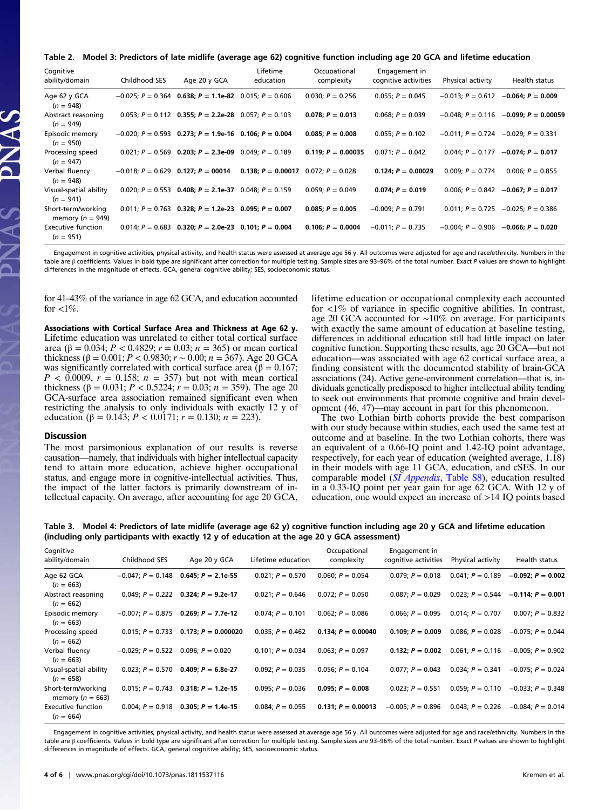|  |  |  |  |  |  | Table 2. Model 3: Predictors of late midlife (average age 62) cognitive function including age 20 GCA and lifetime education |
|--|--|--|--|--|--|------------------------------------------------------------------------------------------------------------------------------|
|--|--|--|--|--|--|------------------------------------------------------------------------------------------------------------------------------|

| Cognitive<br>ability/domain                | Childhood SES                             | Age 20 y GCA                                                   | Lifetime<br>education | Occupational<br>complexity | Engagement in<br>cognitive activities | Physical activity      | Health status                           |
|--------------------------------------------|-------------------------------------------|----------------------------------------------------------------|-----------------------|----------------------------|---------------------------------------|------------------------|-----------------------------------------|
| Age 62 y GCA<br>$(n = 948)$                |                                           | $-0.025$ ; $P = 0.364$ 0.638; $P = 1.1e-82$ 0.015; $P = 0.606$ |                       | 0.030; $P = 0.256$         | $0.055; P = 0.045$                    | $-0.013; P = 0.612$    | $-0.064; P = 0.009$                     |
| Abstract reasoning<br>$(n = 949)$          |                                           | 0.053; $P = 0.112$ 0.355; $P = 2.2e-28$ 0.057; $P = 0.103$     |                       | $0.078; P = 0.013$         | 0.068; $P = 0.039$                    | $-0.048; P = 0.116$    | $-0.099; P = 0.00059$                   |
| Episodic memory<br>$(n = 950)$             |                                           | $-0.020$ ; $P = 0.593$ 0.273; $P = 1.9e-16$ 0.106; $P = 0.004$ |                       | $0.085: P = 0.008$         | $0.055; P = 0.102$                    | $-0.011$ : $P = 0.724$ | $-0.029$ : $P = 0.331$                  |
| Processing speed<br>$(n = 947)$            |                                           | 0.021; $P = 0.569$ 0.203; $P = 2.3e-09$ 0.049; $P = 0.189$     |                       | $0.119: P = 0.00035$       | $0.071; P = 0.042$                    | $0.044: P = 0.177$     | $-0.074; P = 0.017$                     |
| Verbal fluency<br>$(n = 948)$              | $-0.018$ ; $P = 0.629$ 0.127; $P = 00014$ |                                                                | $0.138: P = 0.00017$  | $0.072: P = 0.028$         | $0.124: P = 0.00029$                  | $0.009: P = 0.774$     | 0.006; $P = 0.855$                      |
| Visual-spatial ability<br>$(n = 941)$      |                                           | 0.020: $P = 0.553$ 0.408: $P = 2.1e-37$ 0.048: $P = 0.159$     |                       | $0.059: P = 0.049$         | $0.074: P = 0.019$                    |                        | 0.006: $P = 0.842 -0.067$ : $P = 0.017$ |
| Short-term/working<br>memory ( $n = 949$ ) |                                           | 0.011; $P = 0.763$ 0.328; $P = 1.2e-23$ 0.095; $P = 0.007$     |                       | $0.085; P = 0.005$         | $-0.009; P = 0.791$                   | $0.011; P = 0.725$     | $-0.025; P = 0.386$                     |
| <b>Executive function</b><br>$(n = 951)$   |                                           | 0.014; $P = 0.683$ 0.320; $P = 2.0e-23$ 0.101; $P = 0.004$     |                       | $0.106: P = 0.0004$        | $-0.011$ ; $P = 0.735$                | $-0.004$ : $P = 0.906$ | $-0.066; P = 0.020$                     |

Engagement in cognitive activities, physical activity, and health status were assessed at average age 56 y. All outcomes were adjusted for age and race/ethnicity. Numbers in the table are β coefficients. Values in bold type are significant after correction for multiple testing. Sample sizes are 93-96% of the total number. Exact P values are shown to highlight differences in the magnitude of effects. GCA, general cognitive ability; SES, socioeconomic status.

for 41–43% of the variance in age 62 GCA, and education accounted for  $\langle 1\% \rangle$ .

Associations with Cortical Surface Area and Thickness at Age 62 y. Lifetime education was unrelated to either total cortical surface area (β = 0.034;  $P < 0.4829$ ;  $r = 0.03$ ;  $n = 365$ ) or mean cortical thickness (β = 0.001; P < 0.9830; r ~ 0.00; n = 367). Age 20 GCA was significantly correlated with cortical surface area ( $\beta = 0.167$ ;  $P < 0.0009$ ,  $r = 0.158$ ;  $n = 357$ ) but not with mean cortical thickness (β = 0.031;  $P < 0.5224$ ;  $r = 0.03$ ;  $n = 359$ ). The age 20 GCA-surface area association remained significant even when restricting the analysis to only individuals with exactly 12 y of education (β = 0.143;  $P < 0.0171$ ;  $r = 0.130$ ;  $n = 223$ ).

#### Discussion

The most parsimonious explanation of our results is reverse causation—namely, that individuals with higher intellectual capacity tend to attain more education, achieve higher occupational status, and engage more in cognitive-intellectual activities. Thus, the impact of the latter factors is primarily downstream of intellectual capacity. On average, after accounting for age 20 GCA, lifetime education or occupational complexity each accounted for  $\langle 1\%$  of variance in specific cognitive abilities. In contrast, age 20 GCA accounted for ∼10% on average. For participants with exactly the same amount of education at baseline testing, differences in additional education still had little impact on later cognitive function. Supporting these results, age 20 GCA—but not education—was associated with age 62 cortical surface area, a finding consistent with the documented stability of brain-GCA associations (24). Active gene-environment correlation—that is, individuals genetically predisposed to higher intellectual ability tending to seek out environments that promote cognitive and brain development (46, 47)—may account in part for this phenomenon.

The two Lothian birth cohorts provide the best comparison with our study because within studies, each used the same test at outcome and at baseline. In the two Lothian cohorts, there was an equivalent of a 0.66-IQ point and 1.42-IQ point advantage, respectively, for each year of education (weighted average, 1.18) in their models with age 11 GCA, education, and cSES. In our comparable model (SI Appendix[, Table S8](https://www.pnas.org/lookup/suppl/doi:10.1073/pnas.1811537116/-/DCSupplemental)), education resulted in a 0.33-IQ point per year gain for age 62 GCA. With 12 y of education, one would expect an increase of >14 IQ points based

Table 3. Model 4: Predictors of late midlife (average age 62 y) cognitive function including age 20 y GCA and lifetime education (including only participants with exactly 12 y of education at the age 20 y GCA assessment)

| Cognitive<br>ability/domain                | Childhood SES          | Age 20 y GCA                                 | Lifetime education | Occupational<br>complexity | Engagement in<br>cognitive activities | Physical activity  | Health status          |
|--------------------------------------------|------------------------|----------------------------------------------|--------------------|----------------------------|---------------------------------------|--------------------|------------------------|
| Age 62 GCA<br>$(n = 663)$                  | $-0.047$ : $P = 0.148$ | $0.645: P = 2.1e-55$                         | $0.021; P = 0.570$ | 0.060; $P = 0.054$         | 0.079; $P = 0.018$                    | $0.041: P = 0.189$ | $-0.092$ ; $P = 0.002$ |
| Abstract reasoning<br>$(n = 662)$          |                        | 0.049: $P = 0.222$ 0.324: $P = 9.2e-17$      | $0.021; P = 0.646$ | $0.072; P = 0.050$         | $0.087: P = 0.029$                    | $0.023: P = 0.544$ | $-0.114$ ; $P = 0.001$ |
| Episodic memory<br>$(n = 663)$             |                        | $-0.007$ : $P = 0.875$ 0.269; $P = 7.7$ e-12 | $0.074; P = 0.101$ | $0.062; P = 0.086$         | $0.066: P = 0.095$                    | $0.014: P = 0.707$ | $0.007; P = 0.832$     |
| Processing speed<br>$(n = 662)$            | $0.015: P = 0.733$     | $0.173; P = 0.000020$                        | 0.035; $P = 0.462$ | $0.134; P = 0.00040$       | $0.109: P = 0.009$                    | 0.086; $P = 0.028$ | $-0.075; P = 0.044$    |
| Verbal fluency<br>$(n = 663)$              | $-0.029$ : $P = 0.522$ | $0.096: P = 0.020$                           | $0.101; P = 0.034$ | $0.063; P = 0.097$         | $0.132: P = 0.002$                    | $0.061: P = 0.116$ | $-0.005; P = 0.902$    |
| Visual-spatial ability<br>$(n = 658)$      | $0.023: P = 0.570$     | 0.409; $P = 6.8$ e-27                        | $0.092; P = 0.035$ | 0.056; $P = 0.104$         | $0.077: P = 0.043$                    | $0.034: P = 0.341$ | $-0.075; P = 0.024$    |
| Short-term/working<br>memory ( $n = 663$ ) | $0.015: P = 0.743$     | $0.318: P = 1.2e-15$                         | 0.095; $P = 0.036$ | $0.095; P = 0.008$         | $0.023: P = 0.551$                    | $0.059; P = 0.110$ | $-0.033; P = 0.348$    |
| <b>Executive function</b><br>$(n = 664)$   | $0.004: P = 0.918$     | $0.305: P = 1.4e-15$                         | $0.084; P = 0.055$ | $0.131; P = 0.00013$       | $-0.005; P = 0.896$                   | 0.043; $P = 0.226$ | $-0.084$ : $P = 0.014$ |

Engagement in cognitive activities, physical activity, and health status were assessed at average age 56 y. All outcomes were adjusted for age and race/ethnicity. Numbers in the table are β coefficients. Values in bold type are significant after correction for multiple testing. Sample sizes are 93–96% of the total number. Exact P values are shown to highlight differences in magnitude of effects. GCA, general cognitive ability; SES, socioeconomic status.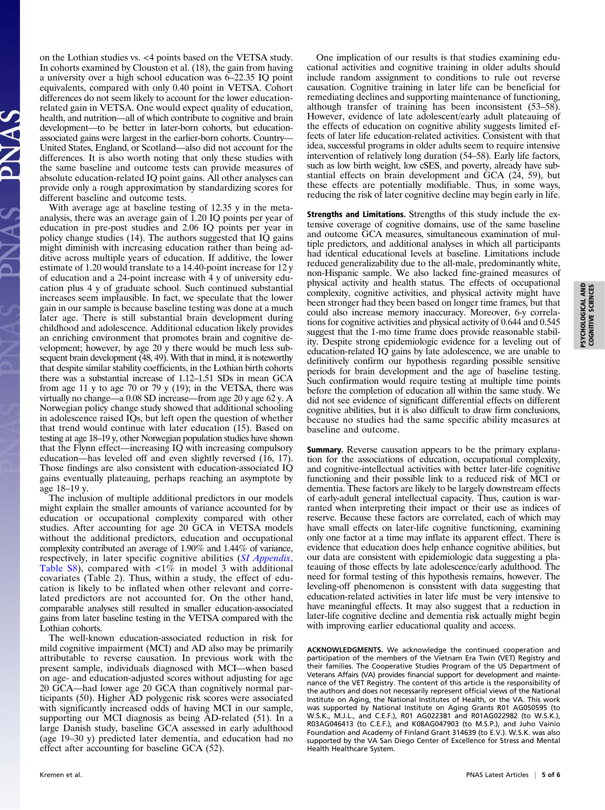on the Lothian studies vs. <4 points based on the VETSA study. In cohorts examined by Clouston et al. (18), the gain from having a university over a high school education was 6–22.35 IQ point equivalents, compared with only 0.40 point in VETSA. Cohort differences do not seem likely to account for the lower educationrelated gain in VETSA. One would expect quality of education, health, and nutrition—all of which contribute to cognitive and brain development—to be better in later-born cohorts, but educationassociated gains were largest in the earlier-born cohorts. Country— United States, England, or Scotland—also did not account for the differences. It is also worth noting that only these studies with the same baseline and outcome tests can provide measures of absolute education-related IQ point gains. All other analyses can provide only a rough approximation by standardizing scores for different baseline and outcome tests.

With average age at baseline testing of 12.35 y in the metaanalysis, there was an average gain of 1.20 IQ points per year of education in pre-post studies and 2.06 IQ points per year in policy change studies (14). The authors suggested that IQ gains might diminish with increasing education rather than being additive across multiple years of education. If additive, the lower estimate of 1.20 would translate to a 14.40-point increase for 12 y of education and a 24-point increase with 4 y of university education plus 4 y of graduate school. Such continued substantial increases seem implausible. In fact, we speculate that the lower gain in our sample is because baseline testing was done at a much later age. There is still substantial brain development during childhood and adolescence. Additional education likely provides an enriching environment that promotes brain and cognitive development; however, by age 20 y there would be much less subsequent brain development (48, 49). With that in mind, it is noteworthy that despite similar stability coefficients, in the Lothian birth cohorts there was a substantial increase of 1.12–1.51 SDs in mean GCA from age 11 y to age 70 or 79 y  $(19)$ ; in the VETSA, there was virtually no change—a 0.08 SD increase—from age 20 y age 62 y. A Norwegian policy change study showed that additional schooling in adolescence raised IQs, but left open the question of whether that trend would continue with later education (15). Based on testing at age 18–19 y, other Norwegian population studies have shown that the Flynn effect—increasing IQ with increasing compulsory education—has leveled off and even slightly reversed (16, 17). Those findings are also consistent with education-associated IQ gains eventually plateauing, perhaps reaching an asymptote by age 18–19 y.

The inclusion of multiple additional predictors in our models might explain the smaller amounts of variance accounted for by education or occupational complexity compared with other studies. After accounting for age 20 GCA in VETSA models without the additional predictors, education and occupational complexity contributed an average of 1.90% and 1.44% of variance, respectively, in later specific cognitive abilities ([SI Appendix](https://www.pnas.org/lookup/suppl/doi:10.1073/pnas.1811537116/-/DCSupplemental), [Table S8\)](https://www.pnas.org/lookup/suppl/doi:10.1073/pnas.1811537116/-/DCSupplemental), compared with  $\langle 1\%$  in model 3 with additional covariates (Table 2). Thus, within a study, the effect of education is likely to be inflated when other relevant and correlated predictors are not accounted for. On the other hand, comparable analyses still resulted in smaller education-associated gains from later baseline testing in the VETSA compared with the Lothian cohorts.

The well-known education-associated reduction in risk for mild cognitive impairment (MCI) and AD also may be primarily attributable to reverse causation. In previous work with the present sample, individuals diagnosed with MCI—when based on age- and education-adjusted scores without adjusting for age 20 GCA—had lower age 20 GCA than cognitively normal participants (50). Higher AD polygenic risk scores were associated with significantly increased odds of having MCI in our sample, supporting our MCI diagnosis as being AD-related (51). In a large Danish study, baseline GCA assessed in early adulthood (age 19–30 y) predicted later dementia, and education had no effect after accounting for baseline GCA (52).

One implication of our results is that studies examining educational activities and cognitive training in older adults should include random assignment to conditions to rule out reverse causation. Cognitive training in later life can be beneficial for remediating declines and supporting maintenance of functioning, although transfer of training has been inconsistent (53–58). However, evidence of late adolescent/early adult plateauing of the effects of education on cognitive ability suggests limited effects of later life education-related activities. Consistent with that idea, successful programs in older adults seem to require intensive intervention of relatively long duration (54–58). Early life factors, such as low birth weight, low cSES, and poverty, already have substantial effects on brain development and GCA (24, 59), but these effects are potentially modifiable. Thus, in some ways, reducing the risk of later cognitive decline may begin early in life.

Strengths and Limitations. Strengths of this study include the extensive coverage of cognitive domains, use of the same baseline and outcome GCA measures, simultaneous examination of multiple predictors, and additional analyses in which all participants had identical educational levels at baseline. Limitations include reduced generalizability due to the all-male, predominantly white, non-Hispanic sample. We also lacked fine-grained measures of physical activity and health status. The effects of occupational complexity, cognitive activities, and physical activity might have been stronger had they been based on longer time frames, but that could also increase memory inaccuracy. Moreover, 6-y correlations for cognitive activities and physical activity of 0.644 and 0.545 suggest that the 1-mo time frame does provide reasonable stability. Despite strong epidemiologic evidence for a leveling out of education-related IQ gains by late adolescence, we are unable to definitively confirm our hypothesis regarding possible sensitive periods for brain development and the age of baseline testing. Such confirmation would require testing at multiple time points before the completion of education all within the same study. We did not see evidence of significant differential effects on different cognitive abilities, but it is also difficult to draw firm conclusions, because no studies had the same specific ability measures at baseline and outcome.

**Summary.** Reverse causation appears to be the primary explanation for the associations of education, occupational complexity, and cognitive-intellectual activities with better later-life cognitive functioning and their possible link to a reduced risk of MCI or dementia. These factors are likely to be largely downstream effects of early-adult general intellectual capacity. Thus, caution is warranted when interpreting their impact or their use as indices of reserve. Because these factors are correlated, each of which may have small effects on later-life cognitive functioning, examining only one factor at a time may inflate its apparent effect. There is evidence that education does help enhance cognitive abilities, but our data are consistent with epidemiologic data suggesting a plateauing of those effects by late adolescence/early adulthood. The need for formal testing of this hypothesis remains, however. The leveling-off phenomenon is consistent with data suggesting that education-related activities in later life must be very intensive to have meaningful effects. It may also suggest that a reduction in later-life cognitive decline and dementia risk actually might begin with improving earlier educational quality and access.

ACKNOWLEDGMENTS. We acknowledge the continued cooperation and participation of the members of the Vietnam Era Twin (VET) Registry and their families. The Cooperative Studies Program of the US Department of Veterans Affairs (VA) provides financial support for development and maintenance of the VET Registry. The content of this article is the responsibility of the authors and does not necessarily represent official views of the National Institute on Aging, the National Institutes of Health, or the VA. This work was supported by National Institute on Aging Grants R01 AG050595 (to W.S.K., M.J.L., and C.E.F.), R01 AG022381 and R01AG022982 (to W.S.K.), R03AG046413 (to C.E.F.), and K08AG047903 (to M.S.P.), and Juho Vainio Foundation and Academy of Finland Grant 314639 (to E.V.). W.S.K. was also supported by the VA San Diego Center of Excellence for Stress and Mental Health Healthcare System.